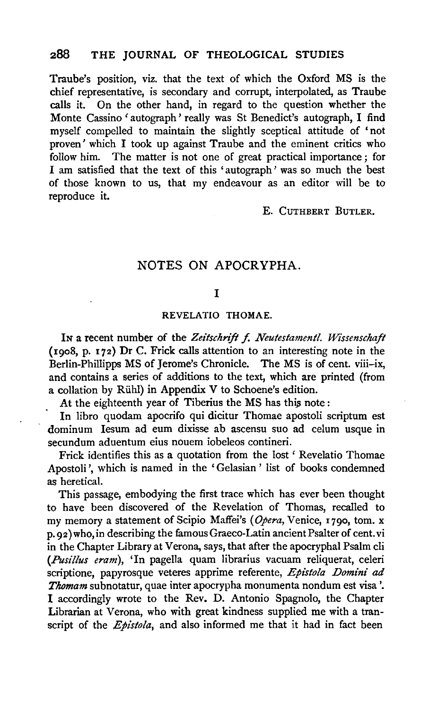Traube's position, viz. that the text of which the Oxford MS is the chief representative, is secondary and corrupt, interpolated, as Traube calls it. On the other hand, in regard to the question whether the Monte Cassino 'autograph' really was St Benedict's autograph, I find myself compelled to maintain the slightly sceptical attitude of 'not proven' which I took up against Traube and the eminent critics who follow him. The matter is not one of great practical importance: for The matter is not one of great practical importance; for I am satisfied that the text of this 'autograph ' was so much the best of those known to us, that my endeavour as an editor will be to reproduce it.

#### E. CuTHBERT BuTLER.

## NOTES ON APOCRYPHA.

## I

#### REVELATIO THOMAE.

In a recent number of the Zeitschrift f. Neutestamentl. Wissenschaft (1908, p. 172) Dr C. Frick calls attention to an interesting note in the Berlin-Phillipps MS of Jerome's Chronicle. The MS is of cent. viii-ix, and contains a series of additions to the text, which are printed (from a collation by Riihl) in Appendix V to Schoene's edition.

At the eighteenth year of Tiberius the MS has this note:

In libro quodam apocrifo qui dicitur Thomae apostoli scriptum est dominum Iesum ad eum dixisse ab ascensu suo ad celum usque in secundum aduentum eius nouem iobeleos contineri.

Frick identifies this as a quotation from the lost ' Revelatio Thomae Apostoli', which is named in the 'Gelasian' list of books condemned as heretical.

This passage, embodying the first trace which has ever been thought to have been discovered of the Revelation of Thomas, recalled to my memory a statement of Scipio Maffei's *(Opera,* Venice, 1790, tom. x p. 92) who, in describing the famous Graeco-Latin ancient Psalter of cent. vi in the Chapter Library at Verona, says, that after the apocryphal Psalm cli *(Pusillus eram),* 'In pagella quam librarius vacuam reliquerat, celeri scriptione, papyrosque veteres apprime referente, *Epistola Domini ad Thomam* subnotatur, quae inter apocrypha monumenta nondum est visa '. I accordingly wrote to the Rev. D. Antonio Spagnolo, the Chapter Librarian at Verona, who with great kindness supplied me with a transcript of the *Epistola,* and also informed me that it had in fact been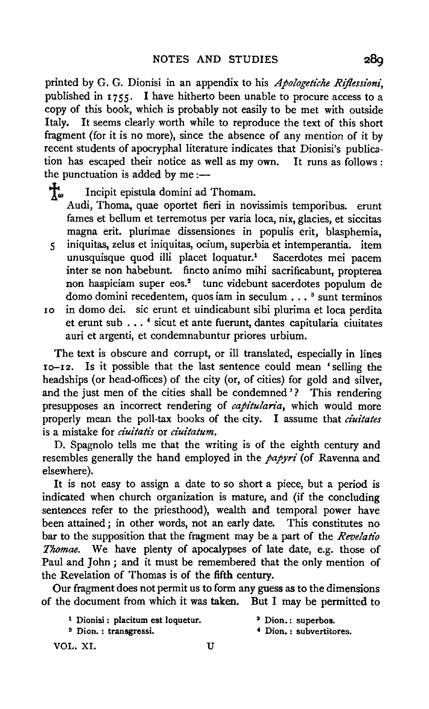printed by G. G. Dionisi in an appendix to his *Apo!ogetiche Rijlessioni,*  published in 1755. I have hitherto been unable to procure access to a copy of this book, which is probably not easily to be met with outside Italy. It seems clearly worth while to reproduce the text of this short fragment (for it is no more), since the absence of any mention of it by recent students of apocryphal literature indicates that Dionisi's publication has escaped their notice as well as my own. It runs as follows :

the punctuation is added by me :—<br> $\frac{1}{10}$  Incipit epistula domini ad Incipit epistula domini ad Thomam. Audi, Thoma, quae oportet fieri in novissimis temporibus. erunt fames et bellum et terremotus per varia loca, nix, glacies, et siccitas magna erit. plurimae dissensiones in populis erit, blasphemia,

- 5 iniquitas, zelus et iniquitas, ocium, superbia et intemperantia. item unusquisque quod illi placet loquatur.1 Sacerdotes mei pacem inter se non habebunt. fincto animo mihi sacrificabunt, propterea non haspiciam super eos.<sup>2</sup> tunc videbunt sacerdotes populum de domo domini recedentem, quos iam in seculum  $\ldots$ <sup>8</sup> sunt terminos
- 10 in domo dei. sic erunt et uindicabunt sibi plurima et loca perdita et erunt sub ... 4 sicut et ante fuerunt, dantes capitularia ciuitates auri et argenti, et condemnabuntur priores urbium.

The text is obscure and corrupt, or ill translated, especially in lines 10-12. Is it possible that the last sentence could mean 'selling the headships (or head-offices) of the city (or, of cities) for gold and silver, and the just men of the cities shall be condemned'? This rendering presupposes an incorrect rendering of *capitularia,* which would more properly mean the poll-tax books of the city. I assume that *ciuitates*  is a mistake for *ciuitatis* or *ciuitatum.* 

D. Spagnolo tells me that the writing is of the eighth century and resembles generally the hand employed in the *papyri* (of Ravenna and elsewhere).

It is not easy to assign a date to so short a piece, but a period is indicated when church organization is mature, and (if the concluding sentences refer to the priesthood), wealth and temporal power have been attained; in other words, not an early date. This constitutes no bar to the supposition that the fragment may be a part of the *Revelatio Thomae.* We have plenty of apocalypses of late date, e.g. those of Paul and John ; and it must be remembered that the only mention of the Revelation of Thomas is of the fifth century.

Our fragment does not permit us to form any guess as to the dimensions of the document from which it was taken. But I may be permitted to

1 Dionisi : placitum est loquetur.

8 Dion. : transgressi.

- <sup>2</sup> Dion.: superbos.
- *4* Dion. : subvertitores.

VOL. XI. u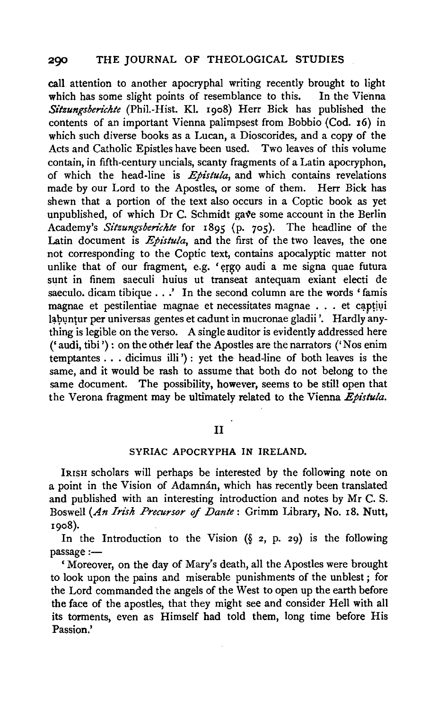call attention to another apocryphal writing recently brought to light which has some slight points of resemblance to this. In the Vienna *Sitzungsberichte* (Phil.-Hist. Kl. 19o8) Herr Bick has published the contents of an important Vienna palimpsest from Bobbio (Cod. 16) in which such diverse books as a Lucan, a Dioscorides, and a copy of the Acts and Catholic Epistles have been used. Two leaves of this volume contain, in fifth-century uncials, scanty fragments of a Latin apocryphon, of which the head-line is *Epistula,* and which contains revelations made by our Lord to the Apostles, or some of them. Herr Bick has shewn that a portion of the text also occurs in a Coptic book as yet unpublished, of which  $Dr C$ . Schmidt gave some account in the Berlin Academy's *Sitzungsben'chte* for 1895 (p. 705). The headline of the Latin document is  $E\psi$ *istula*, and the first of the two leaves, the one not corresponding to the Coptic text, contains apocalyptic matter not unlike that of our fragment, e.g. 'ergo audi a me signa quae futura sunt in finem saeculi huius ut transeat antequam exiant electi de saeculo. dicam tibique . . .' In the second column are the words ' famis magnae et pestilentiae magnae et necessitates magnae . . . et captiui labuntur per universas gentes et cadunt in mucronae gladii '. Hardly anything is legible on the verso. A single auditor is evidently addressed here (' audi, tibi '): on the other leaf the Apostles are the narrators ('Nos enim temptantes . . . dicimus illi ') : yet the head-line of both leaves is the same, and it would be rash to assume that both do not belong to the same document. The possibility, however, seems to be still open that the Verona fragment may be ultimately related to the Vienna *Epistula.* 

# II

#### SYRIAC APOCRYPHA IN IRELAND.

IRISH scholars will perhaps be interested by the following note on a point in the Vision of Adamnán, which has recently been translated and published with an interesting introduction and notes by Mr C. S. Boswell *(An Irish Precursor* of *Dante:* Grimm Library, No. 18. Nutt, 1908).

In the Introduction to the Vision  $(\S$  2, p. 29) is the following passage:-

'Moreover, on the day of Mary's death, all the Apostles were brought to look upon the pains and miserable punishments of the unblest ; for the Lord commanded the angels of the West to open up the earth before the face of the apostles, that they might see and consider Hell with all its torments, even as Himself had told them, long time before His Passion.'